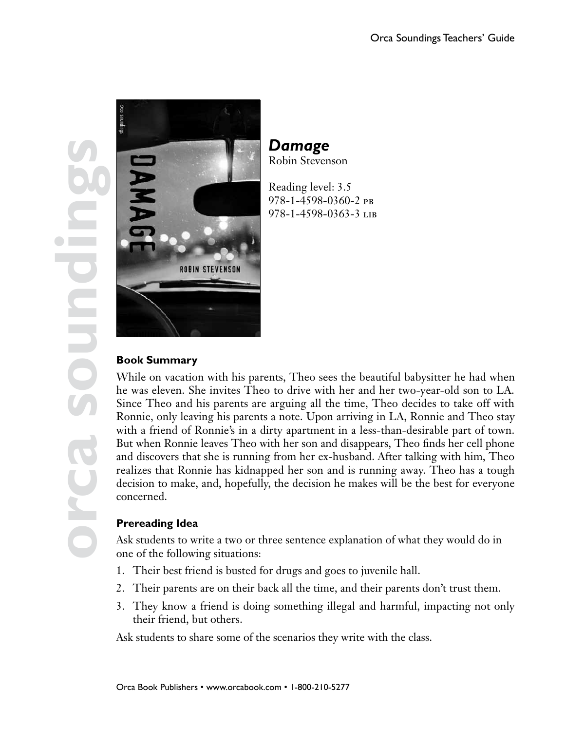

*Damage* Robin Stevenson

Reading level: 3.5 978-1-4598-0360-2 pb 978-1-4598-0363-3 lib

# **Book Summary**

While on vacation with his parents, Theo sees the beautiful babysitter he had when he was eleven. She invites Theo to drive with her and her two-year-old son to LA. Since Theo and his parents are arguing all the time, Theo decides to take off with Ronnie, only leaving his parents a note. Upon arriving in LA, Ronnie and Theo stay with a friend of Ronnie's in a dirty apartment in a less-than-desirable part of town. But when Ronnie leaves Theo with her son and disappears, Theo finds her cell phone and discovers that she is running from her ex-husband. After talking with him, Theo realizes that Ronnie has kidnapped her son and is running away. Theo has a tough decision to make, and, hopefully, the decision he makes will be the best for everyone concerned.

## **Prereading Idea**

Ask students to write a two or three sentence explanation of what they would do in one of the following situations:

- 1. Their best friend is busted for drugs and goes to juvenile hall.
- 2. Their parents are on their back all the time, and their parents don't trust them.
- 3. They know a friend is doing something illegal and harmful, impacting not only their friend, but others.

Ask students to share some of the scenarios they write with the class.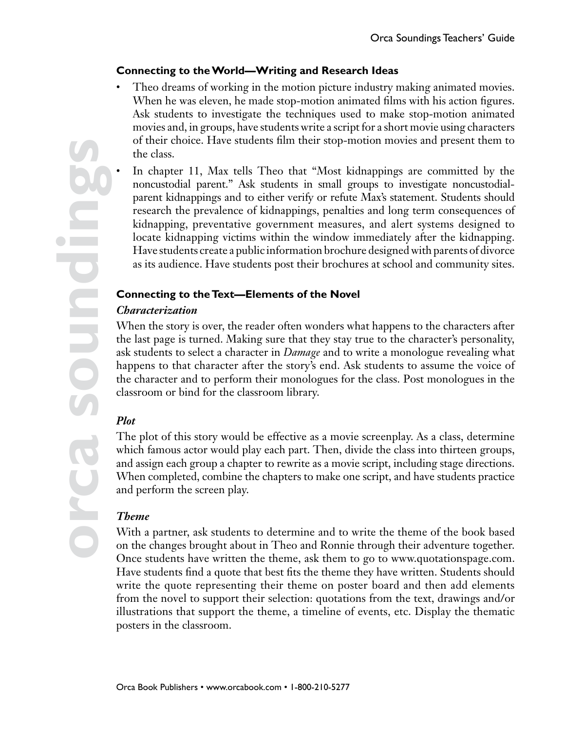### **Connecting to the World—Writing and Research Ideas**

- Theo dreams of working in the motion picture industry making animated movies. When he was eleven, he made stop-motion animated films with his action figures. Ask students to investigate the techniques used to make stop-motion animated movies and, in groups, have students write a script for a short movie using characters of their choice. Have students film their stop-motion movies and present them to the class.
	- In chapter 11, Max tells Theo that "Most kidnappings are committed by the noncustodial parent." Ask students in small groups to investigate noncustodialparent kidnappings and to either verify or refute Max's statement. Students should research the prevalence of kidnappings, penalties and long term consequences of kidnapping, preventative government measures, and alert systems designed to locate kidnapping victims within the window immediately after the kidnapping. Have students create a public information brochure designed with parents of divorce as its audience. Have students post their brochures at school and community sites.

#### **Connecting to the Text—Elements of the Novel**

### *Characterization*

When the story is over, the reader often wonders what happens to the characters after the last page is turned. Making sure that they stay true to the character's personality, ask students to select a character in *Damage* and to write a monologue revealing what happens to that character after the story's end. Ask students to assume the voice of the character and to perform their monologues for the class. Post monologues in the classroom or bind for the classroom library.

## *Plot*

The plot of this story would be effective as a movie screenplay. As a class, determine which famous actor would play each part. Then, divide the class into thirteen groups, and assign each group a chapter to rewrite as a movie script, including stage directions. When completed, combine the chapters to make one script, and have students practice and perform the screen play.

#### *Theme*

With a partner, ask students to determine and to write the theme of the book based on the changes brought about in Theo and Ronnie through their adventure together. Once students have written the theme, ask them to go to www.quotationspage.com. Have students find a quote that best fits the theme they have written. Students should write the quote representing their theme on poster board and then add elements from the novel to support their selection: quotations from the text, drawings and/or illustrations that support the theme, a timeline of events, etc. Display the thematic posters in the classroom.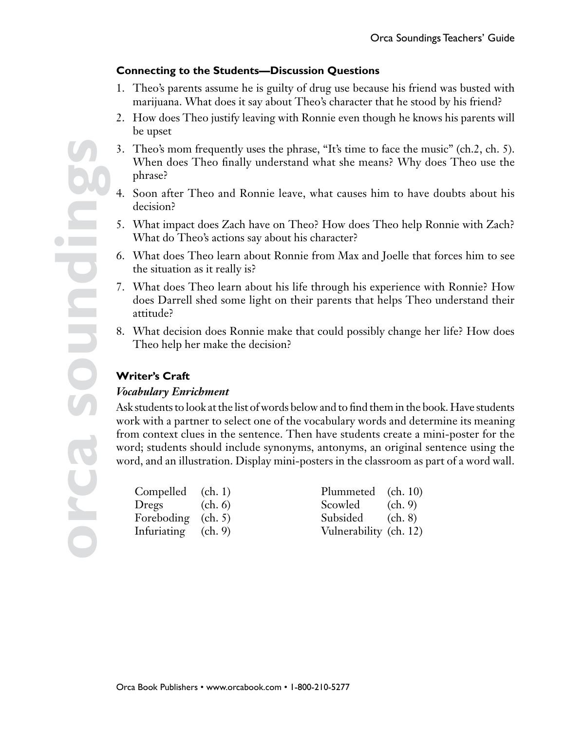### **Connecting to the Students—Discussion Questions**

- 1. Theo's parents assume he is guilty of drug use because his friend was busted with marijuana. What does it say about Theo's character that he stood by his friend?
- 2. How does Theo justify leaving with Ronnie even though he knows his parents will be upset
- 3. Theo's mom frequently uses the phrase, "It's time to face the music" (ch.2, ch. 5). When does Theo finally understand what she means? Why does Theo use the phrase?
- 4. Soon after Theo and Ronnie leave, what causes him to have doubts about his decision?
- 5. What impact does Zach have on Theo? How does Theo help Ronnie with Zach? What do Theo's actions say about his character?
- 6. What does Theo learn about Ronnie from Max and Joelle that forces him to see the situation as it really is?
- 7. What does Theo learn about his life through his experience with Ronnie? How does Darrell shed some light on their parents that helps Theo understand their attitude?
- 8. What decision does Ronnie make that could possibly change her life? How does Theo help her make the decision?

## **Writer's Craft**

#### *Vocabulary Enrichment*

Ask students to look at the list of words below and to find them in the book. Have students work with a partner to select one of the vocabulary words and determine its meaning from context clues in the sentence. Then have students create a mini-poster for the word; students should include synonyms, antonyms, an original sentence using the word, and an illustration. Display mini-posters in the classroom as part of a word wall.

| Compelled $(ch. 1)$<br>Dregs $(ch. 6)$ | Plummeted (ch. 10)<br>Scowled (ch. 9) |  |
|----------------------------------------|---------------------------------------|--|
| Foreboding (ch. 5)                     | Subsided (ch. 8)                      |  |
| Infuriating $(ch. 9)$                  | Vulnerability (ch. 12)                |  |